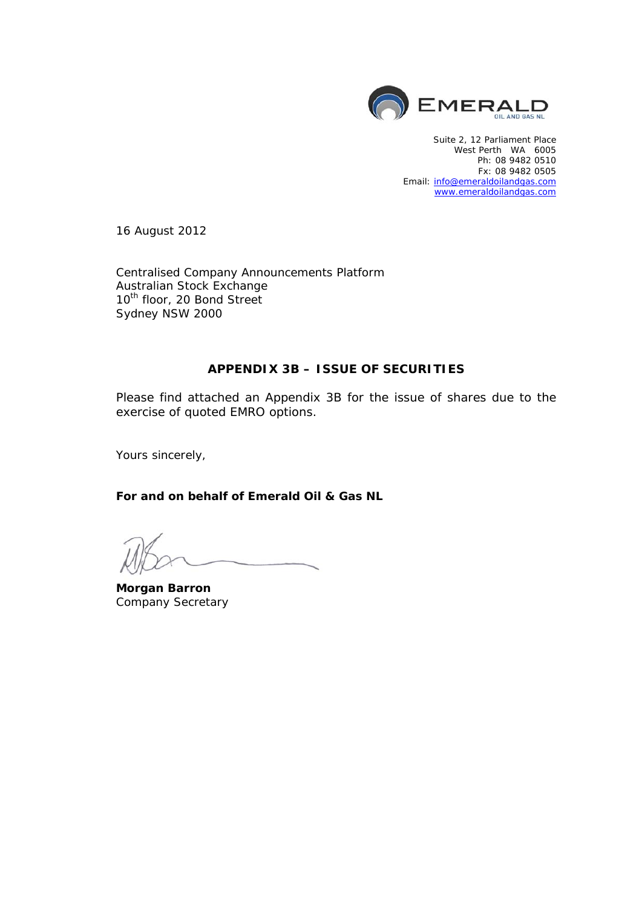

Suite 2, 12 Parliament Place West Perth WA 6005 Ph: 08 9482 0510 Fx: 08 9482 0505 Email: info@emeraldoilandgas.com www.emeraldoilandgas.com

16 August 2012

Centralised Company Announcements Platform Australian Stock Exchange 10<sup>th</sup> floor, 20 Bond Street Sydney NSW 2000

#### **APPENDIX 3B – ISSUE OF SECURITIES**

Please find attached an Appendix 3B for the issue of shares due to the exercise of quoted EMRO options.

Yours sincerely,

**For and on behalf of Emerald Oil & Gas NL** 

**Morgan Barron**  Company Secretary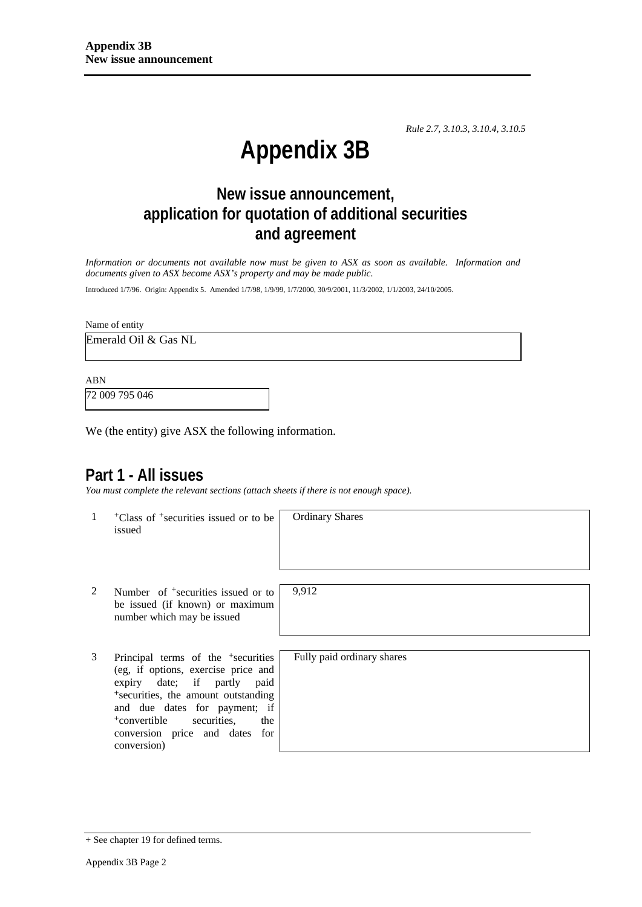*Rule 2.7, 3.10.3, 3.10.4, 3.10.5*

# **Appendix 3B**

## **New issue announcement, application for quotation of additional securities and agreement**

*Information or documents not available now must be given to ASX as soon as available. Information and documents given to ASX become ASX's property and may be made public.* 

Introduced 1/7/96. Origin: Appendix 5. Amended 1/7/98, 1/9/99, 1/7/2000, 30/9/2001, 11/3/2002, 1/1/2003, 24/10/2005.

Name of entity

Emerald Oil & Gas NL

ABN

72 009 795 046

We (the entity) give ASX the following information.

## **Part 1 - All issues**

*You must complete the relevant sections (attach sheets if there is not enough space).*

1 +Class of +securities issued or to be issued

Ordinary Shares

2 Number of <sup>+</sup>securities issued or to be issued (if known) or maximum number which may be issued

3 Principal terms of the <sup>+</sup>securities (eg, if options, exercise price and expiry date; if partly paid <sup>+</sup>securities, the amount outstanding and due dates for payment; if <sup>+</sup>convertible securities, the conversion price and dates for conversion)

9,912

Fully paid ordinary shares

<sup>+</sup> See chapter 19 for defined terms.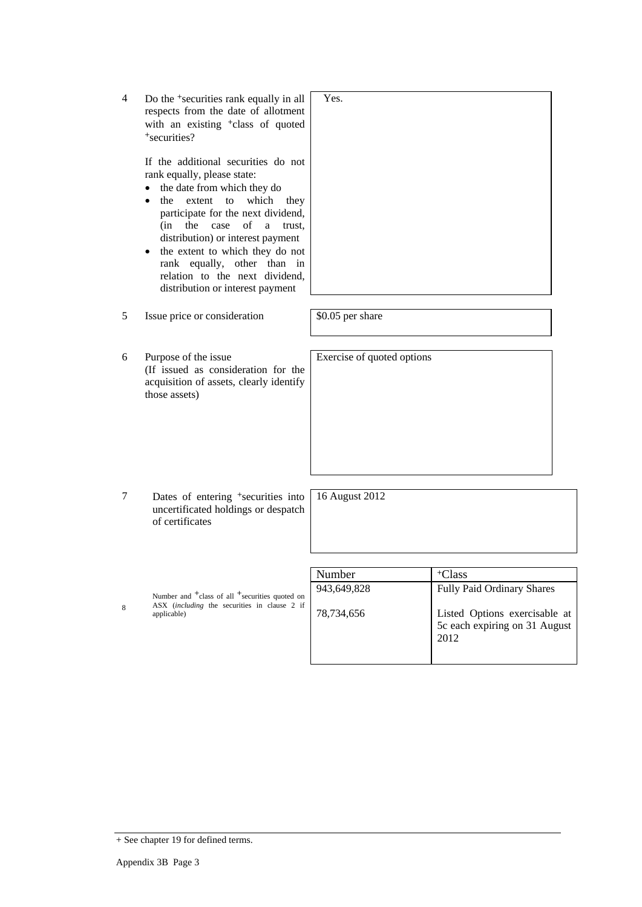4 Do the <sup>+</sup>securities rank equally in all respects from the date of allotment with an existing <sup>+</sup>class of quoted <sup>+</sup>securities?

> If the additional securities do not rank equally, please state:

- the date from which they do
- the extent to which they participate for the next dividend, (in the case of a trust, distribution) or interest payment
- the extent to which they do not rank equally, other than in relation to the next dividend, distribution or interest payment

5 Issue price or consideration \$0.05 per share

- 6 Purpose of the issue (If issued as consideration for the acquisition of assets, clearly identify those assets)
- 7 Dates of entering <sup>+</sup>securities into uncertificated holdings or despatch of certificates

16 August 2012

|   |                                                                                                                                              | Number      | <sup>+</sup> Class                                                     |
|---|----------------------------------------------------------------------------------------------------------------------------------------------|-------------|------------------------------------------------------------------------|
|   | Number and <sup>+</sup> class of all <sup>+</sup> securities quoted on<br>ASX <i>(including the securities in clause 2 if</i><br>applicable) | 943,649,828 | <b>Fully Paid Ordinary Shares</b>                                      |
| 8 |                                                                                                                                              | 78,734,656  | Listed Options exercisable at<br>5c each expiring on 31 August<br>2012 |



Exercise of quoted options

Yes.

+ See chapter 19 for defined terms.

8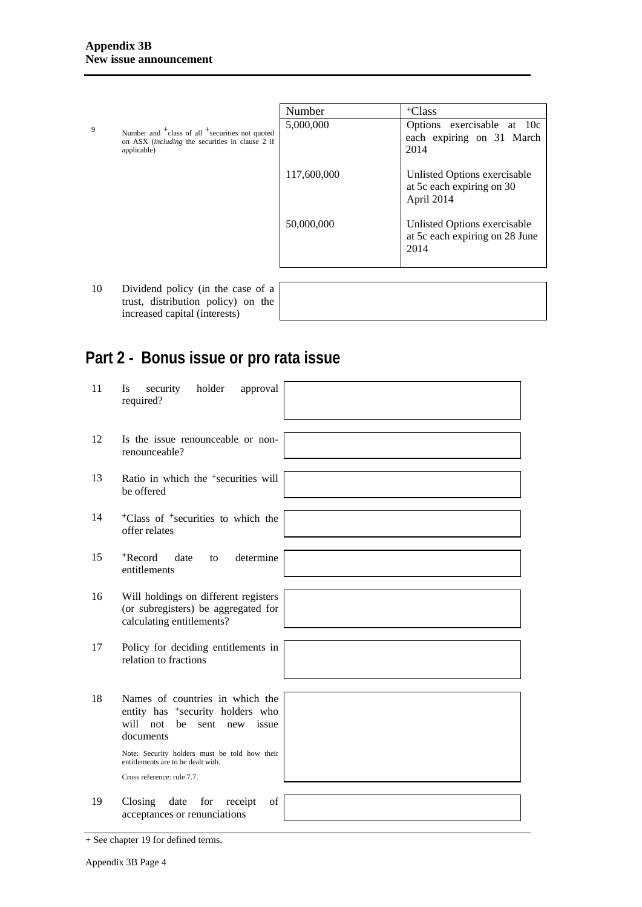|   |                                                                                                                                                  | Number      | <sup>+</sup> Class                                                      |
|---|--------------------------------------------------------------------------------------------------------------------------------------------------|-------------|-------------------------------------------------------------------------|
| 9 | Number and <sup>+</sup> class of all <sup>+</sup> securities not quoted<br>on ASX <i>(including the securities in clause 2 if</i><br>applicable) | 5,000,000   | Options exercisable at 10c<br>each expiring on 31 March<br>2014         |
|   |                                                                                                                                                  | 117,600,000 | Unlisted Options exercisable<br>at 5c each expiring on 30<br>April 2014 |
|   |                                                                                                                                                  | 50,000,000  | Unlisted Options exercisable<br>at 5c each expiring on 28 June<br>2014  |
|   |                                                                                                                                                  |             |                                                                         |

10 Dividend policy (in the case of a trust, distribution policy) on the increased capital (interests)

|                                                                                                                      |  | the contract of the contract of the contract of |  |
|----------------------------------------------------------------------------------------------------------------------|--|-------------------------------------------------|--|
|                                                                                                                      |  |                                                 |  |
|                                                                                                                      |  |                                                 |  |
|                                                                                                                      |  |                                                 |  |
|                                                                                                                      |  |                                                 |  |
|                                                                                                                      |  |                                                 |  |
| <u> 1989 - Andrea Santa Andrea Andrea Andrea Andrea Andrea Andrea Andrea Andrea Andrea Andrea Andrea Andrea Andr</u> |  |                                                 |  |
|                                                                                                                      |  |                                                 |  |

## **Part 2 - Bonus issue or pro rata issue**

| 11 | holder<br>security<br>approval<br><b>Is</b><br>required?                                                                            |
|----|-------------------------------------------------------------------------------------------------------------------------------------|
|    |                                                                                                                                     |
| 12 | Is the issue renounceable or non-<br>renounceable?                                                                                  |
|    |                                                                                                                                     |
| 13 | Ratio in which the <sup>+</sup> securities will<br>be offered                                                                       |
|    |                                                                                                                                     |
| 14 | <sup>+</sup> Class of <sup>+</sup> securities to which the<br>offer relates                                                         |
|    |                                                                                                                                     |
| 15 | +Record<br>determine<br>date<br>to<br>entitlements                                                                                  |
|    |                                                                                                                                     |
| 16 | Will holdings on different registers<br>(or subregisters) be aggregated for<br>calculating entitlements?                            |
|    |                                                                                                                                     |
| 17 | Policy for deciding entitlements in<br>relation to fractions                                                                        |
|    |                                                                                                                                     |
| 18 | Names of countries in which the<br>entity has <sup>+</sup> security holders who<br>will not<br>be<br>issue<br>sent new<br>documents |
|    | Note: Security holders must be told how their<br>entitlements are to be dealt with.                                                 |
|    | Cross reference: rule 7.7.                                                                                                          |
|    |                                                                                                                                     |
| 19 | Closing<br>date<br>for<br>of<br>receipt<br>acceptances or renunciations                                                             |

<sup>+</sup> See chapter 19 for defined terms.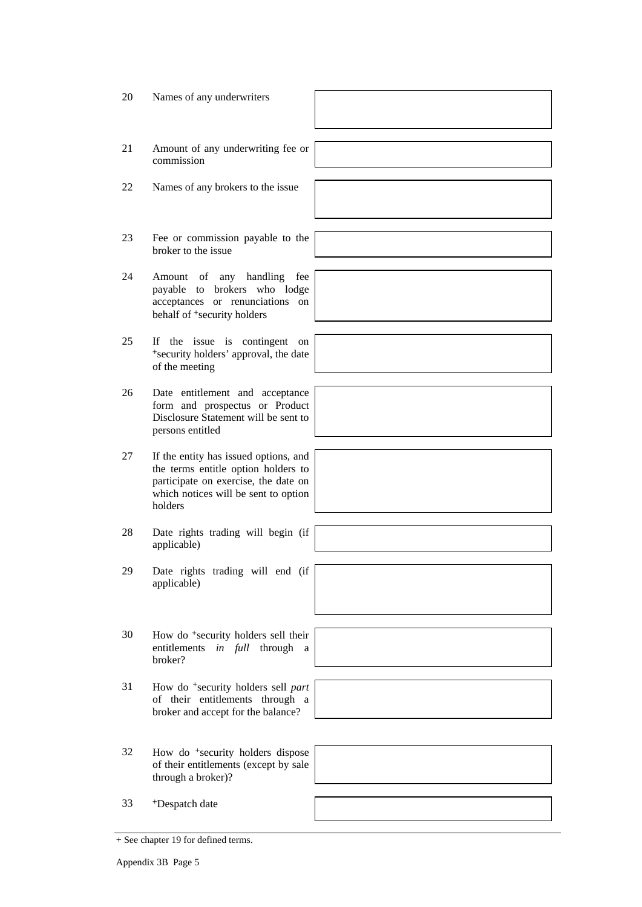- 20 Names of any underwriters
- 21 Amount of any underwriting fee or commission
- 22 Names of any brokers to the issue
- 23 Fee or commission payable to the broker to the issue
- 24 Amount of any handling fee payable to brokers who lodge acceptances or renunciations on behalf of +security holders
- 25 If the issue is contingent on <sup>+</sup>security holders' approval, the date of the meeting
- 26 Date entitlement and acceptance form and prospectus or Product Disclosure Statement will be sent to persons entitled
- 27 If the entity has issued options, and the terms entitle option holders to participate on exercise, the date on which notices will be sent to option holders
- 28 Date rights trading will begin (if applicable)
- 29 Date rights trading will end (if applicable)
- 30 How do <sup>+</sup>security holders sell their entitlements *in full* through a broker?
- 31 How do <sup>+</sup>security holders sell *part* of their entitlements through a broker and accept for the balance?
- 32 How do <sup>+</sup>security holders dispose of their entitlements (except by sale through a broker)?
- 33 +Despatch date

<sup>+</sup> See chapter 19 for defined terms.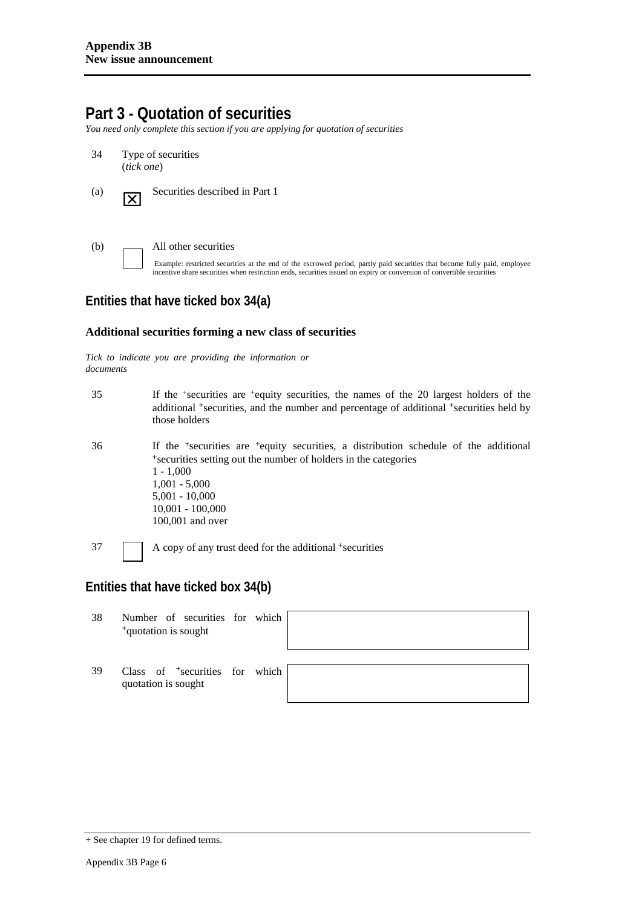## **Part 3 - Quotation of securities**

*You need only complete this section if you are applying for quotation of securities* 

- 34 Type of securities (*tick one*)
- (a) **Securities described in Part 1**

(b) All other securities

Example: restricted securities at the end of the escrowed period, partly paid securities that become fully paid, employee incentive share securities when restriction ends, securities issued on expiry or conversion of convertible securities

### **Entities that have ticked box 34(a)**

#### **Additional securities forming a new class of securities**

*Tick to indicate you are providing the information or documents*

- 35 If the +securities are +equity securities, the names of the 20 largest holders of the additional <sup>+</sup>securities, and the number and percentage of additional <sup>+</sup>securities held by those holders
- 36 If the +securities are +equity securities, a distribution schedule of the additional <sup>+</sup>securities setting out the number of holders in the categories 1 - 1,000 1,001 - 5,000 5,001 - 10,000 10,001 - 100,000 100,001 and over
- 

37 A copy of any trust deed for the additional <sup>+</sup>securities

#### **Entities that have ticked box 34(b)**

38 Number of securities for which <sup>+</sup>quotation is sought



39 Class of <sup>+</sup>securities for which quotation is sought



<sup>+</sup> See chapter 19 for defined terms.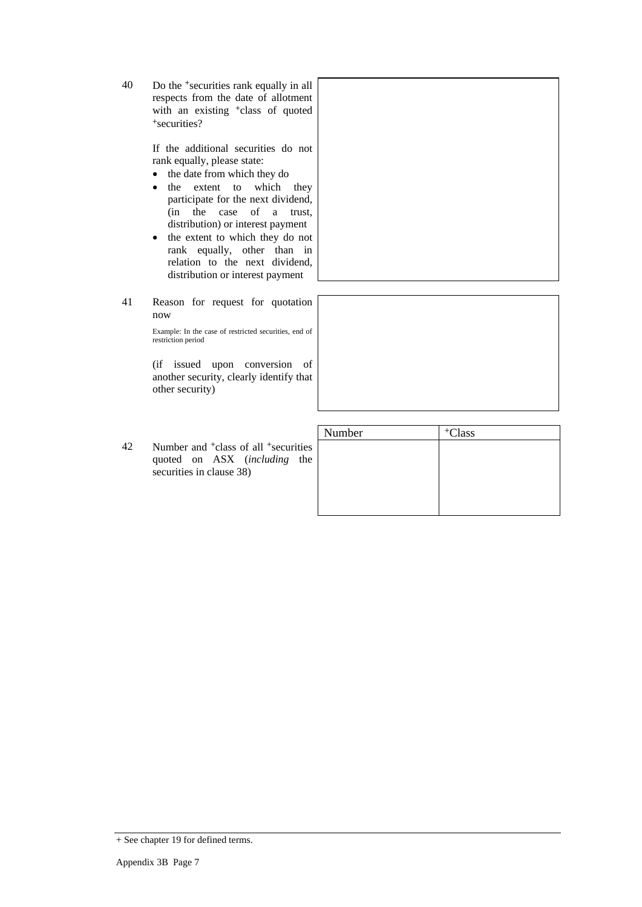40 Do the <sup>+</sup>securities rank equally in all respects from the date of allotment with an existing <sup>+</sup>class of quoted <sup>+</sup>securities?

> If the additional securities do not rank equally, please state:

- the date from which they do
- the extent to which they participate for the next dividend, (in the case of a trust, distribution) or interest payment
- the extent to which they do not rank equally, other than in relation to the next dividend, distribution or interest payment
- 41 Reason for request for quotation now

Example: In the case of restricted securities, end of restriction period

(if issued upon conversion of another security, clearly identify that other security)

|    |                                                                                                                            | Number | Class |
|----|----------------------------------------------------------------------------------------------------------------------------|--------|-------|
| 42 | Number and <sup>+</sup> class of all <sup>+</sup> securities  <br>quoted on ASX (including the<br>securities in clause 38) |        |       |
|    |                                                                                                                            |        |       |



<sup>+</sup> See chapter 19 for defined terms.